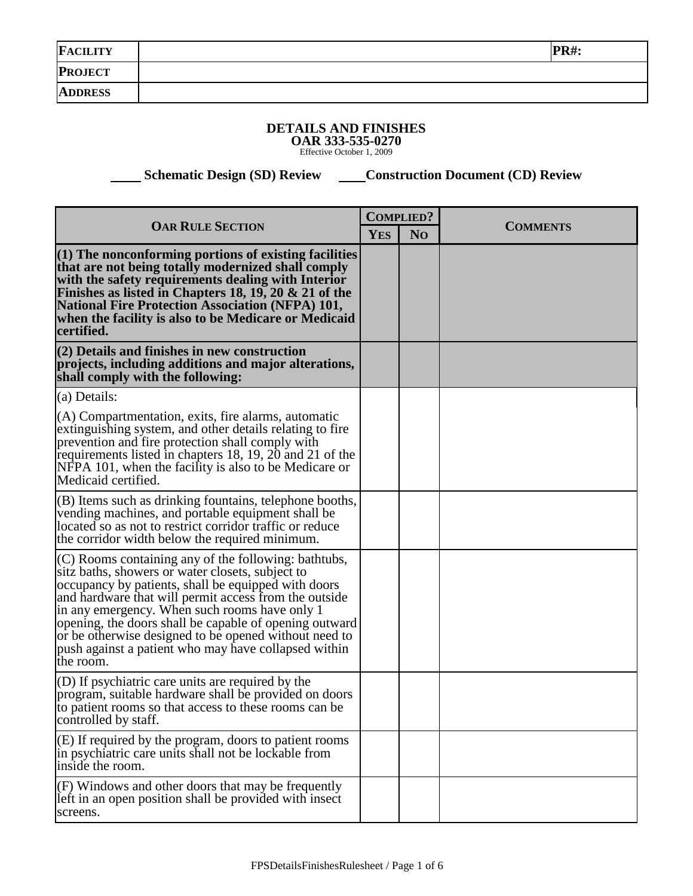| <b>FACILITY</b> | <b>PR#:</b> |
|-----------------|-------------|
| <b>PROJECT</b>  |             |
| <b>ADDRESS</b>  |             |

## **DETAILS AND FINISHES OAR 333-535-0270** Effective October 1, 2009

 **Schematic Design (SD) Review <br> Construction Document (CD) Review** 

| <b>OAR RULE SECTION</b>                                                                                                                                                                                                                                                                                                                                                                                                                                           |  | <b>COMPLIED?</b> | <b>COMMENTS</b> |
|-------------------------------------------------------------------------------------------------------------------------------------------------------------------------------------------------------------------------------------------------------------------------------------------------------------------------------------------------------------------------------------------------------------------------------------------------------------------|--|------------------|-----------------|
|                                                                                                                                                                                                                                                                                                                                                                                                                                                                   |  | N <sub>O</sub>   |                 |
| $(1)$ The nonconforming portions of existing facilities<br>that are not being totally modernized shall comply<br>with the safety requirements dealing with Interior<br>Finishes as listed in Chapters 18, 19, 20 & 21 of the<br><b>National Fire Protection Association (NFPA) 101,</b><br>when the facility is also to be Medicare or Medicaid<br>certified.                                                                                                     |  |                  |                 |
| (2) Details and finishes in new construction<br>projects, including additions and major alterations,<br>shall comply with the following:                                                                                                                                                                                                                                                                                                                          |  |                  |                 |
| (a) Details:                                                                                                                                                                                                                                                                                                                                                                                                                                                      |  |                  |                 |
| (A) Compartmentation, exits, fire alarms, automatic<br>extinguishing system, and other details relating to fire<br>prevention and fire protection shall comply with<br>requirements listed in chapters 18, 19, 20 and 21 of the<br>NFPA 101, when the facility is also to be Medicare or<br>Medicaid certified.                                                                                                                                                   |  |                  |                 |
| (B) Items such as drinking fountains, telephone booths,<br>vending machines, and portable equipment shall be<br>located so as not to restrict corridor traffic or reduce<br>the corridor width below the required minimum.                                                                                                                                                                                                                                        |  |                  |                 |
| (C) Rooms containing any of the following: bathtubs,<br>sitz baths, showers or water closets, subject to<br>occupancy by patients, shall be equipped with doors<br>and hardware that will permit access from the outside<br>in any emergency. When such rooms have only 1<br>opening, the doors shall be capable of opening outward<br>or be otherwise designed to be opened without need to<br>push against a patient who may have collapsed within<br>the room. |  |                  |                 |
| (D) If psychiatric care units are required by the<br>program, suitable hardware shall be provided on doors<br>to patient rooms so that access to these rooms can be<br>controlled by staff.                                                                                                                                                                                                                                                                       |  |                  |                 |
| (E) If required by the program, doors to patient rooms<br>in psychiatric care units shall not be lockable from<br>inside the room.                                                                                                                                                                                                                                                                                                                                |  |                  |                 |
| (F) Windows and other doors that may be frequently<br>left in an open position shall be provided with insect<br>screens.                                                                                                                                                                                                                                                                                                                                          |  |                  |                 |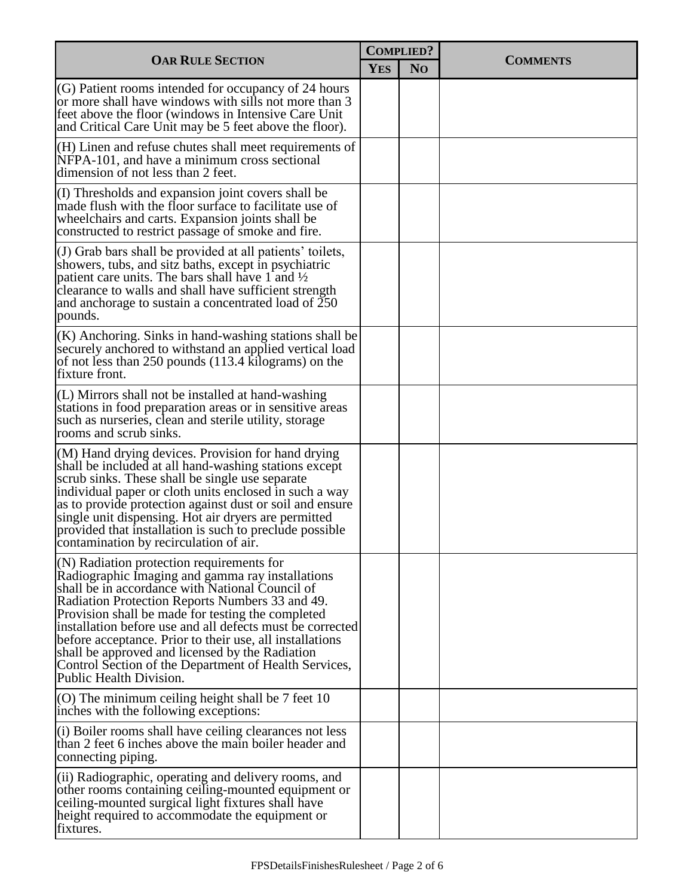| <b>OAR RULE SECTION</b>                                                                                                                                                                                                                                                                                                                                                                                                                                                                                                    |  | <b>COMPLIED?</b> |                 |  |
|----------------------------------------------------------------------------------------------------------------------------------------------------------------------------------------------------------------------------------------------------------------------------------------------------------------------------------------------------------------------------------------------------------------------------------------------------------------------------------------------------------------------------|--|------------------|-----------------|--|
|                                                                                                                                                                                                                                                                                                                                                                                                                                                                                                                            |  | N <sub>O</sub>   | <b>COMMENTS</b> |  |
| $\vert$ (G) Patient rooms intended for occupancy of 24 hours<br>or more shall have windows with sills not more than 3<br>feet above the floor (windows in Intensive Care Unit<br>and Critical Care Unit may be 5 feet above the floor).                                                                                                                                                                                                                                                                                    |  |                  |                 |  |
| $(H)$ Linen and refuse chutes shall meet requirements of<br>NFPA-101, and have a minimum cross sectional<br>dimension of not less than 2 feet.                                                                                                                                                                                                                                                                                                                                                                             |  |                  |                 |  |
| (I) Thresholds and expansion joint covers shall be<br>made flush with the floor surface to facilitate use of<br>wheelchairs and carts. Expansion joints shall be<br>constructed to restrict passage of smoke and fire.                                                                                                                                                                                                                                                                                                     |  |                  |                 |  |
| $($ J $)$ Grab bars shall be provided at all patients' toilets,<br>showers, tubs, and sitz baths, except in psychiatric<br>patient care units. The bars shall have 1 and $\frac{1}{2}$<br>clearance to walls and shall have sufficient strength<br>and anchorage to sustain a concentrated load of 250<br>pounds.                                                                                                                                                                                                          |  |                  |                 |  |
| $(K)$ Anchoring. Sinks in hand-washing stations shall be<br>securely anchored to withstand an applied vertical load<br>of not less than 250 pounds (113.4 kilograms) on the<br>fixture front.                                                                                                                                                                                                                                                                                                                              |  |                  |                 |  |
| $(L)$ Mirrors shall not be installed at hand-washing<br>stations in food preparation areas or in sensitive areas<br>such as nurseries, clean and sterile utility, storage<br>rooms and scrub sinks.                                                                                                                                                                                                                                                                                                                        |  |                  |                 |  |
| $(M)$ Hand drying devices. Provision for hand drying<br>shall be included at all hand-washing stations except<br>scrub sinks. These shall be single use separate<br>individual paper or cloth units enclosed in such a way<br>as to provide protection against dust or soil and ensure<br>single unit dispensing. Hot air dryers are permitted<br>provided that installation is such to preclude possible<br>contamination by recirculation of air.                                                                        |  |                  |                 |  |
| $(N)$ Radiation protection requirements for<br>Radiographic Imaging and gamma ray installations<br>shall be in accordance with National Council of<br>Radiation Protection Reports Numbers 33 and 49.<br>Provision shall be made for testing the completed<br>installation before use and all defects must be corrected<br>before acceptance. Prior to their use, all installations<br>shall be approved and licensed by the Radiation<br>Control Section of the Department of Health Services,<br>Public Health Division. |  |                  |                 |  |
| $\vert$ (O) The minimum ceiling height shall be 7 feet 10<br>inches with the following exceptions:                                                                                                                                                                                                                                                                                                                                                                                                                         |  |                  |                 |  |
| (i) Boiler rooms shall have ceiling clearances not less<br>than 2 feet 6 inches above the main boiler header and<br>connecting piping.                                                                                                                                                                                                                                                                                                                                                                                     |  |                  |                 |  |
| (ii) Radiographic, operating and delivery rooms, and<br>other rooms containing ceiling-mounted equipment or<br>ceiling-mounted surgical light fixtures shall have<br>height required to accommodate the equipment or<br>fixtures.                                                                                                                                                                                                                                                                                          |  |                  |                 |  |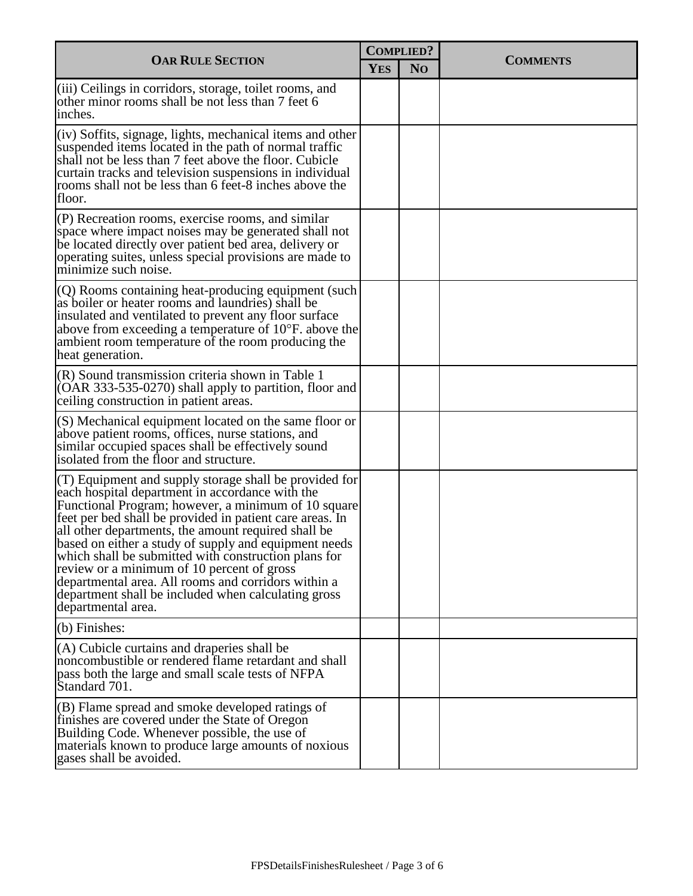|                                                                                                                                                                                                                                                                                                                                                                                                                                                                                                                                                                                           | <b>COMPLIED?</b> |                |                 |  |
|-------------------------------------------------------------------------------------------------------------------------------------------------------------------------------------------------------------------------------------------------------------------------------------------------------------------------------------------------------------------------------------------------------------------------------------------------------------------------------------------------------------------------------------------------------------------------------------------|------------------|----------------|-----------------|--|
| <b>OAR RULE SECTION</b>                                                                                                                                                                                                                                                                                                                                                                                                                                                                                                                                                                   | <b>YES</b>       | N <sub>O</sub> | <b>COMMENTS</b> |  |
| (iii) Ceilings in corridors, storage, toilet rooms, and<br>other minor rooms shall be not less than 7 feet 6<br>inches.                                                                                                                                                                                                                                                                                                                                                                                                                                                                   |                  |                |                 |  |
| $(iv)$ Soffits, signage, lights, mechanical items and other<br>suspended items located in the path of normal traffic<br>shall not be less than 7 feet above the floor. Cubicle<br>curtain tracks and television suspensions in individual<br>rooms shall not be less than 6 feet-8 inches above the<br>floor.                                                                                                                                                                                                                                                                             |                  |                |                 |  |
| $(P)$ Recreation rooms, exercise rooms, and similar<br>space where impact noises may be generated shall not<br>be located directly over patient bed area, delivery or<br>operating suites, unless special provisions are made to<br>minimize such noise.                                                                                                                                                                                                                                                                                                                                  |                  |                |                 |  |
| $(Q)$ Rooms containing heat-producing equipment (such<br>as boiler or heater rooms and laundries) shall be<br>insulated and ventilated to prevent any floor surface<br>above from exceeding a temperature of 10°F. above the<br>ambient room temperature of the room producing the<br>heat generation.                                                                                                                                                                                                                                                                                    |                  |                |                 |  |
| $(R)$ Sound transmission criteria shown in Table 1<br>$(OAR 333-535-0270)$ shall apply to partition, floor and<br>ceiling construction in patient areas.                                                                                                                                                                                                                                                                                                                                                                                                                                  |                  |                |                 |  |
| $(S)$ Mechanical equipment located on the same floor or<br>above patient rooms, offices, nurse stations, and<br>similar occupied spaces shall be effectively sound<br>isolated from the floor and structure.                                                                                                                                                                                                                                                                                                                                                                              |                  |                |                 |  |
| $($ T) Equipment and supply storage shall be provided for<br>each hospital department in accordance with the<br>Functional Program; however, a minimum of 10 square<br>feet per bed shall be provided in patient care areas. In<br>all other departments, the amount required shall be<br>based on either a study of supply and equipment needs<br>which shall be submitted with construction plans for<br>review or a minimum of 10 percent of gross<br>departmental area. All rooms and corridors within a<br>department shall be included when calculating gross<br>departmental area. |                  |                |                 |  |
| (b) Finishes:                                                                                                                                                                                                                                                                                                                                                                                                                                                                                                                                                                             |                  |                |                 |  |
| (A) Cubicle curtains and draperies shall be<br>noncombustible or rendered flame retardant and shall<br>pass both the large and small scale tests of NFPA<br>Standard 701.                                                                                                                                                                                                                                                                                                                                                                                                                 |                  |                |                 |  |
| (B) Flame spread and smoke developed ratings of<br>finishes are covered under the State of Oregon<br>Building Code. Whenever possible, the use of<br>materials known to produce large amounts of noxious<br>gases shall be avoided.                                                                                                                                                                                                                                                                                                                                                       |                  |                |                 |  |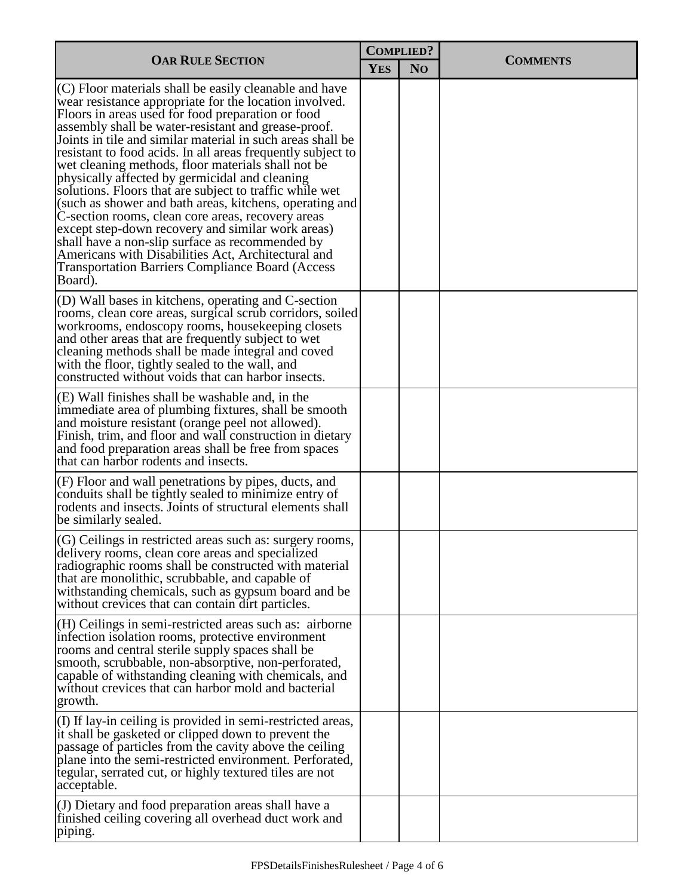| <b>OAR RULE SECTION</b>                                                                                                                                                                                                                                                                                                                                                                                                                                                                                                                                                                                                                                                                                                                                                                                                                                                          |  | <b>COMPLIED?</b> |                 |  |
|----------------------------------------------------------------------------------------------------------------------------------------------------------------------------------------------------------------------------------------------------------------------------------------------------------------------------------------------------------------------------------------------------------------------------------------------------------------------------------------------------------------------------------------------------------------------------------------------------------------------------------------------------------------------------------------------------------------------------------------------------------------------------------------------------------------------------------------------------------------------------------|--|------------------|-----------------|--|
|                                                                                                                                                                                                                                                                                                                                                                                                                                                                                                                                                                                                                                                                                                                                                                                                                                                                                  |  | N <sub>O</sub>   | <b>COMMENTS</b> |  |
| (C) Floor materials shall be easily cleanable and have<br>wear resistance appropriate for the location involved.<br>Floors in areas used for food preparation or food<br>assembly shall be water-resistant and grease-proof.<br>Joints in tile and similar material in such areas shall be<br>resistant to food acids. In all areas frequently subject to<br>wet cleaning methods, floor materials shall not be<br>physically affected by germicidal and cleaning<br>solutions. Floors that are subject to traffic while wet<br>(such as shower and bath areas, kitchens, operating and<br>C-section rooms, clean core areas, recovery areas<br>except step-down recovery and similar work areas)<br>shall have a non-slip surface as recommended by<br>Americans with Disabilities Act, Architectural and<br><b>Transportation Barriers Compliance Board (Access</b><br>Board). |  |                  |                 |  |
| (D) Wall bases in kitchens, operating and C-section<br>rooms, clean core areas, surgical scrub corridors, soiled<br>workrooms, endoscopy rooms, housekeeping closets<br>and other areas that are frequently subject to wet<br>cleaning methods shall be made integral and coved<br>with the floor, tightly sealed to the wall, and<br>constructed without voids that can harbor insects.                                                                                                                                                                                                                                                                                                                                                                                                                                                                                         |  |                  |                 |  |
| (E) Wall finishes shall be washable and, in the<br>immediate area of plumbing fixtures, shall be smooth<br>and moisture resistant (orange peel not allowed).<br>Finish, trim, and floor and wall construction in dietary<br>and food preparation areas shall be free from spaces<br>that can harbor rodents and insects.                                                                                                                                                                                                                                                                                                                                                                                                                                                                                                                                                         |  |                  |                 |  |
| (F) Floor and wall penetrations by pipes, ducts, and<br>conduits shall be tightly sealed to minimize entry of<br>rodents and insects. Joints of structural elements shall<br>be similarly sealed.                                                                                                                                                                                                                                                                                                                                                                                                                                                                                                                                                                                                                                                                                |  |                  |                 |  |
| (G) Ceilings in restricted areas such as: surgery rooms,<br>delivery rooms, clean core areas and specialized<br>radiographic rooms shall be constructed with material<br>that are monolithic, scrubbable, and capable of<br>withstanding chemicals, such as gypsum board and be<br>without crevices that can contain dirt particles.                                                                                                                                                                                                                                                                                                                                                                                                                                                                                                                                             |  |                  |                 |  |
| (H) Ceilings in semi-restricted areas such as: airborne<br>infection isolation rooms, protective environment<br>rooms and central sterile supply spaces shall be<br>smooth, scrubbable, non-absorptive, non-perforated,<br>capable of withstanding cleaning with chemicals, and<br>without crevices that can harbor mold and bacterial<br>growth.                                                                                                                                                                                                                                                                                                                                                                                                                                                                                                                                |  |                  |                 |  |
| (I) If lay-in ceiling is provided in semi-restricted areas,<br>it shall be gasketed or clipped down to prevent the<br>passage of particles from the cavity above the ceiling<br>plane into the semi-restricted environment. Perforated,<br>tegular, serrated cut, or highly textured tiles are not<br>acceptable.                                                                                                                                                                                                                                                                                                                                                                                                                                                                                                                                                                |  |                  |                 |  |
| (J) Dietary and food preparation areas shall have a<br>finished ceiling covering all overhead duct work and<br>piping.                                                                                                                                                                                                                                                                                                                                                                                                                                                                                                                                                                                                                                                                                                                                                           |  |                  |                 |  |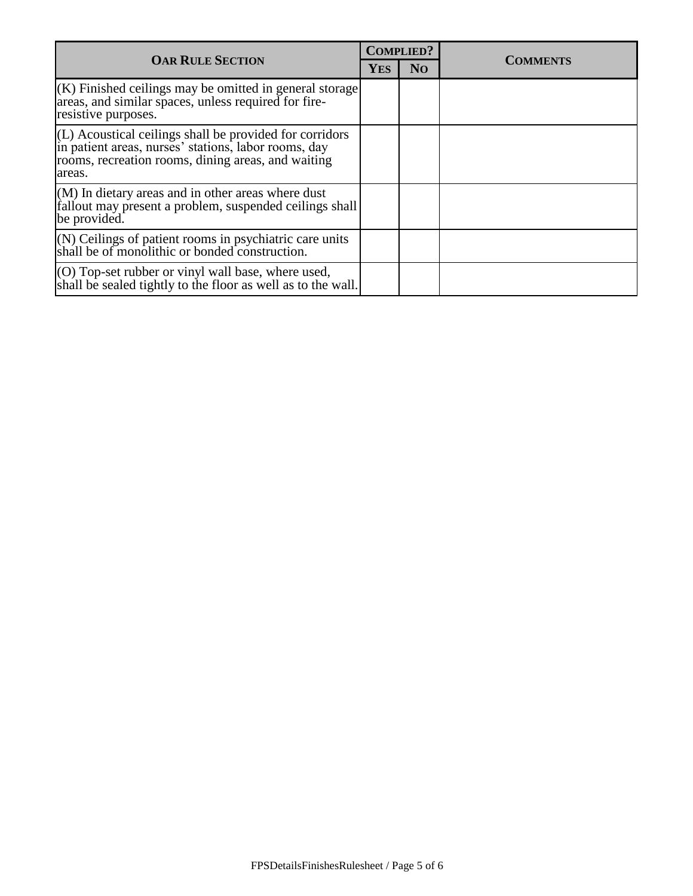| <b>OAR RULE SECTION</b>                                                                                                                                                                 |  | <b>COMPLIED?</b> | <b>COMMENTS</b> |
|-----------------------------------------------------------------------------------------------------------------------------------------------------------------------------------------|--|------------------|-----------------|
|                                                                                                                                                                                         |  | N <sub>O</sub>   |                 |
| $(K)$ Finished ceilings may be omitted in general storage<br>areas, and similar spaces, unless required for fire-<br>resistive purposes.                                                |  |                  |                 |
| $ L\rangle$ Acoustical ceilings shall be provided for corridors<br>in patient areas, nurses' stations, labor rooms, day<br>rooms, recreation rooms, dining areas, and waiting<br>areas. |  |                  |                 |
| $(M)$ In dietary areas and in other areas where dust<br>fallout may present a problem, suspended ceilings shall<br>be provided.                                                         |  |                  |                 |
| $(N)$ Ceilings of patient rooms in psychiatric care units<br>shall be of monolithic or bonded construction.                                                                             |  |                  |                 |
| $(0)$ Top-set rubber or vinyl wall base, where used,<br>shall be sealed tightly to the floor as well as to the wall.                                                                    |  |                  |                 |